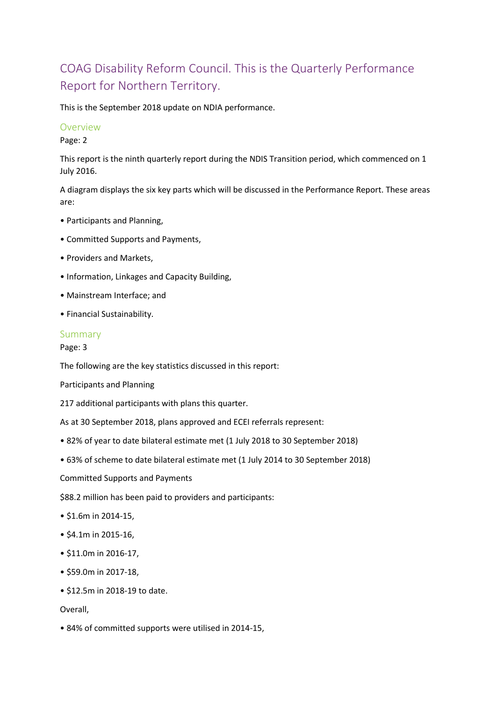# COAG Disability Reform Council. This is the Quarterly Performance Report for Northern Territory.

This is the September 2018 update on NDIA performance.

#### Overview

Page: 2

This report is the ninth quarterly report during the NDIS Transition period, which commenced on 1 July 2016.

A diagram displays the six key parts which will be discussed in the Performance Report. These areas are:

- Participants and Planning,
- Committed Supports and Payments,
- Providers and Markets,
- Information, Linkages and Capacity Building,
- Mainstream Interface; and
- Financial Sustainability.

#### Summary

Page: 3

The following are the key statistics discussed in this report:

Participants and Planning

217 additional participants with plans this quarter.

As at 30 September 2018, plans approved and ECEI referrals represent:

- 82% of year to date bilateral estimate met (1 July 2018 to 30 September 2018)
- 63% of scheme to date bilateral estimate met (1 July 2014 to 30 September 2018)

Committed Supports and Payments

\$88.2 million has been paid to providers and participants:

- \$1.6m in 2014-15,
- \$4.1m in 2015-16,
- \$11.0m in 2016-17,
- \$59.0m in 2017-18,
- \$12.5m in 2018-19 to date.

#### Overall,

• 84% of committed supports were utilised in 2014-15,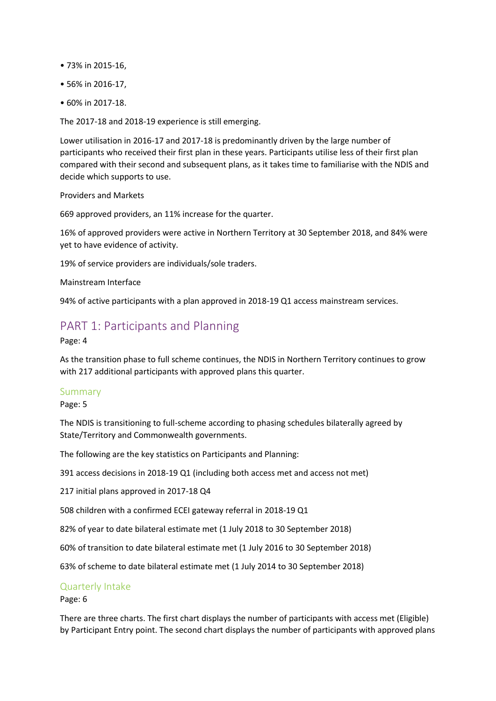- 73% in 2015-16,
- 56% in 2016-17,
- 60% in 2017-18.

The 2017-18 and 2018-19 experience is still emerging.

Lower utilisation in 2016-17 and 2017-18 is predominantly driven by the large number of participants who received their first plan in these years. Participants utilise less of their first plan compared with their second and subsequent plans, as it takes time to familiarise with the NDIS and decide which supports to use.

Providers and Markets

669 approved providers, an 11% increase for the quarter.

16% of approved providers were active in Northern Territory at 30 September 2018, and 84% were yet to have evidence of activity.

19% of service providers are individuals/sole traders.

Mainstream Interface

94% of active participants with a plan approved in 2018-19 Q1 access mainstream services.

## PART 1: Participants and Planning

Page: 4

As the transition phase to full scheme continues, the NDIS in Northern Territory continues to grow with 217 additional participants with approved plans this quarter.

#### Summary

Page: 5

The NDIS is transitioning to full-scheme according to phasing schedules bilaterally agreed by State/Territory and Commonwealth governments.

The following are the key statistics on Participants and Planning:

391 access decisions in 2018-19 Q1 (including both access met and access not met)

217 initial plans approved in 2017-18 Q4

508 children with a confirmed ECEI gateway referral in 2018-19 Q1

82% of year to date bilateral estimate met (1 July 2018 to 30 September 2018)

60% of transition to date bilateral estimate met (1 July 2016 to 30 September 2018)

63% of scheme to date bilateral estimate met (1 July 2014 to 30 September 2018)

#### Quarterly Intake

Page: 6

There are three charts. The first chart displays the number of participants with access met (Eligible) by Participant Entry point. The second chart displays the number of participants with approved plans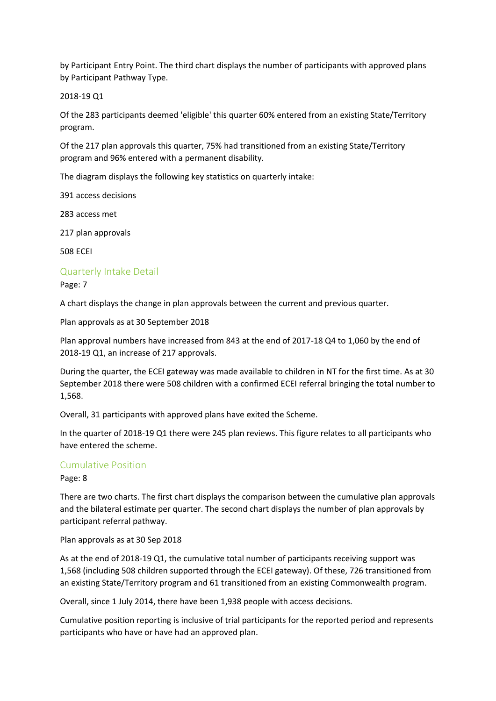by Participant Entry Point. The third chart displays the number of participants with approved plans by Participant Pathway Type.

#### 2018-19 Q1

Of the 283 participants deemed 'eligible' this quarter 60% entered from an existing State/Territory program.

Of the 217 plan approvals this quarter, 75% had transitioned from an existing State/Territory program and 96% entered with a permanent disability.

The diagram displays the following key statistics on quarterly intake:

391 access decisions

283 access met

217 plan approvals

508 ECEI

#### Quarterly Intake Detail

Page: 7

A chart displays the change in plan approvals between the current and previous quarter.

Plan approvals as at 30 September 2018

Plan approval numbers have increased from 843 at the end of 2017-18 Q4 to 1,060 by the end of 2018-19 Q1, an increase of 217 approvals.

During the quarter, the ECEI gateway was made available to children in NT for the first time. As at 30 September 2018 there were 508 children with a confirmed ECEI referral bringing the total number to 1,568.

Overall, 31 participants with approved plans have exited the Scheme.

In the quarter of 2018-19 Q1 there were 245 plan reviews. This figure relates to all participants who have entered the scheme.

## Cumulative Position

Page: 8

There are two charts. The first chart displays the comparison between the cumulative plan approvals and the bilateral estimate per quarter. The second chart displays the number of plan approvals by participant referral pathway.

Plan approvals as at 30 Sep 2018

As at the end of 2018-19 Q1, the cumulative total number of participants receiving support was 1,568 (including 508 children supported through the ECEI gateway). Of these, 726 transitioned from an existing State/Territory program and 61 transitioned from an existing Commonwealth program.

Overall, since 1 July 2014, there have been 1,938 people with access decisions.

Cumulative position reporting is inclusive of trial participants for the reported period and represents participants who have or have had an approved plan.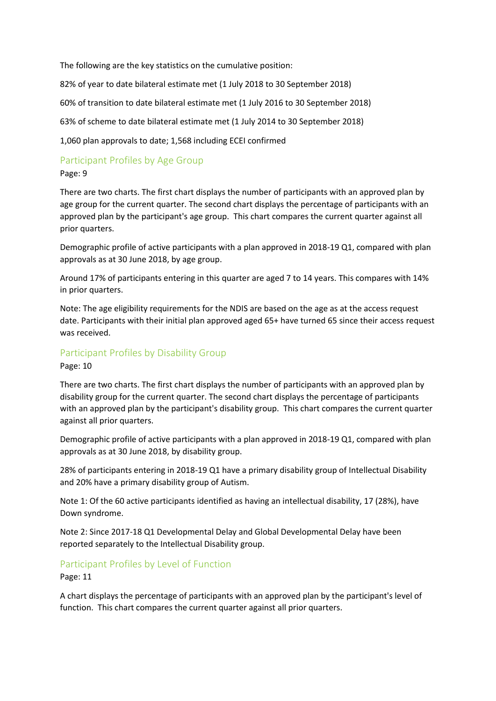The following are the key statistics on the cumulative position:

82% of year to date bilateral estimate met (1 July 2018 to 30 September 2018)

60% of transition to date bilateral estimate met (1 July 2016 to 30 September 2018)

63% of scheme to date bilateral estimate met (1 July 2014 to 30 September 2018)

1,060 plan approvals to date; 1,568 including ECEI confirmed

## Participant Profiles by Age Group

#### Page: 9

There are two charts. The first chart displays the number of participants with an approved plan by age group for the current quarter. The second chart displays the percentage of participants with an approved plan by the participant's age group. This chart compares the current quarter against all prior quarters.

Demographic profile of active participants with a plan approved in 2018-19 Q1, compared with plan approvals as at 30 June 2018, by age group.

Around 17% of participants entering in this quarter are aged 7 to 14 years. This compares with 14% in prior quarters.

Note: The age eligibility requirements for the NDIS are based on the age as at the access request date. Participants with their initial plan approved aged 65+ have turned 65 since their access request was received.

## Participant Profiles by Disability Group

Page: 10

There are two charts. The first chart displays the number of participants with an approved plan by disability group for the current quarter. The second chart displays the percentage of participants with an approved plan by the participant's disability group. This chart compares the current quarter against all prior quarters.

Demographic profile of active participants with a plan approved in 2018-19 Q1, compared with plan approvals as at 30 June 2018, by disability group.

28% of participants entering in 2018-19 Q1 have a primary disability group of Intellectual Disability and 20% have a primary disability group of Autism.

Note 1: Of the 60 active participants identified as having an intellectual disability, 17 (28%), have Down syndrome.

Note 2: Since 2017-18 Q1 Developmental Delay and Global Developmental Delay have been reported separately to the Intellectual Disability group.

## Participant Profiles by Level of Function

Page: 11

A chart displays the percentage of participants with an approved plan by the participant's level of function. This chart compares the current quarter against all prior quarters.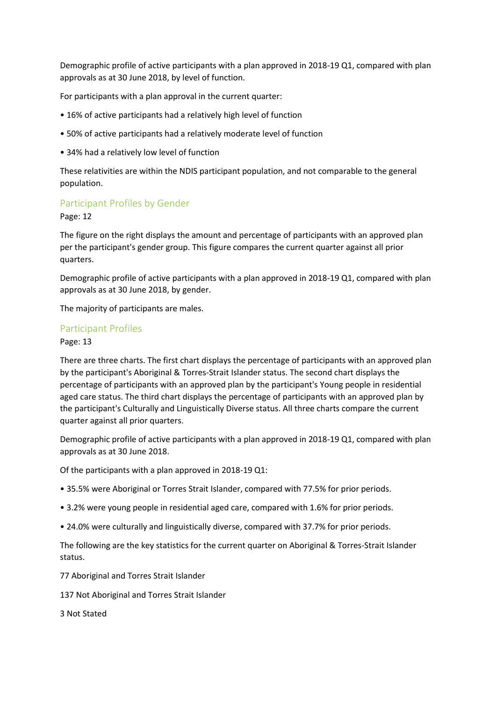Demographic profile of active participants with a plan approved in 2018-19 Q1, compared with plan approvals as at 30 June 2018, by level of function.

For participants with a plan approval in the current quarter:

- 16% of active participants had a relatively high level of function
- 50% of active participants had a relatively moderate level of function
- 34% had a relatively low level of function

These relativities are within the NDIS participant population, and not comparable to the general population.

#### Participant Profiles by Gender

Page: 12

The figure on the right displays the amount and percentage of participants with an approved plan per the participant's gender group. This figure compares the current quarter against all prior quarters.

Demographic profile of active participants with a plan approved in 2018-19 Q1, compared with plan approvals as at 30 June 2018, by gender.

The majority of participants are males.

#### Participant Profiles

#### Page: 13

There are three charts. The first chart displays the percentage of participants with an approved plan by the participant's Aboriginal & Torres-Strait Islander status. The second chart displays the percentage of participants with an approved plan by the participant's Young people in residential aged care status. The third chart displays the percentage of participants with an approved plan by the participant's Culturally and Linguistically Diverse status. All three charts compare the current quarter against all prior quarters.

Demographic profile of active participants with a plan approved in 2018-19 Q1, compared with plan approvals as at 30 June 2018.

Of the participants with a plan approved in 2018-19 Q1:

- 35.5% were Aboriginal or Torres Strait Islander, compared with 77.5% for prior periods.
- 3.2% were young people in residential aged care, compared with 1.6% for prior periods.
- 24.0% were culturally and linguistically diverse, compared with 37.7% for prior periods.

The following are the key statistics for the current quarter on Aboriginal & Torres-Strait Islander status.

77 Aboriginal and Torres Strait Islander

137 Not Aboriginal and Torres Strait Islander

3 Not Stated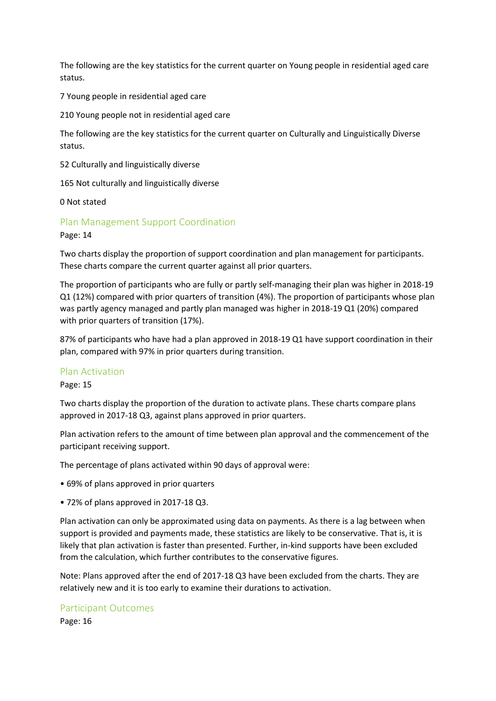The following are the key statistics for the current quarter on Young people in residential aged care status.

7 Young people in residential aged care

210 Young people not in residential aged care

The following are the key statistics for the current quarter on Culturally and Linguistically Diverse status.

52 Culturally and linguistically diverse

165 Not culturally and linguistically diverse

0 Not stated

Plan Management Support Coordination

Page: 14

Two charts display the proportion of support coordination and plan management for participants. These charts compare the current quarter against all prior quarters.

The proportion of participants who are fully or partly self-managing their plan was higher in 2018-19 Q1 (12%) compared with prior quarters of transition (4%). The proportion of participants whose plan was partly agency managed and partly plan managed was higher in 2018-19 Q1 (20%) compared with prior quarters of transition (17%).

87% of participants who have had a plan approved in 2018-19 Q1 have support coordination in their plan, compared with 97% in prior quarters during transition.

#### Plan Activation

Page: 15

Two charts display the proportion of the duration to activate plans. These charts compare plans approved in 2017-18 Q3, against plans approved in prior quarters.

Plan activation refers to the amount of time between plan approval and the commencement of the participant receiving support.

The percentage of plans activated within 90 days of approval were:

- 69% of plans approved in prior quarters
- 72% of plans approved in 2017-18 Q3.

Plan activation can only be approximated using data on payments. As there is a lag between when support is provided and payments made, these statistics are likely to be conservative. That is, it is likely that plan activation is faster than presented. Further, in-kind supports have been excluded from the calculation, which further contributes to the conservative figures.

Note: Plans approved after the end of 2017-18 Q3 have been excluded from the charts. They are relatively new and it is too early to examine their durations to activation.

#### Participant Outcomes

Page: 16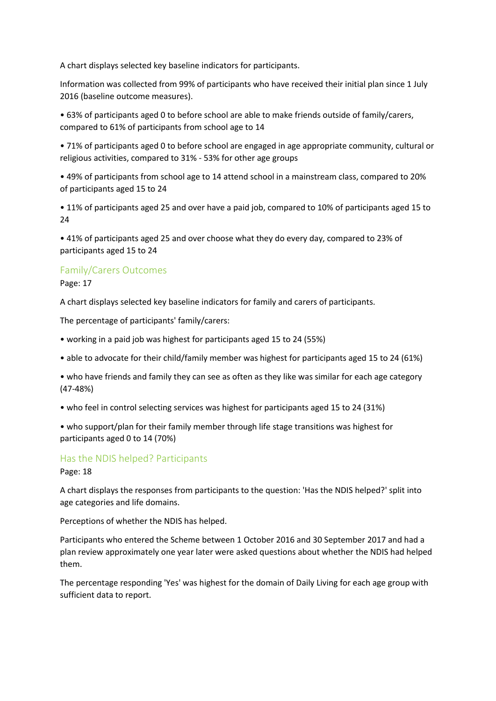A chart displays selected key baseline indicators for participants.

Information was collected from 99% of participants who have received their initial plan since 1 July 2016 (baseline outcome measures).

• 63% of participants aged 0 to before school are able to make friends outside of family/carers, compared to 61% of participants from school age to 14

• 71% of participants aged 0 to before school are engaged in age appropriate community, cultural or religious activities, compared to 31% - 53% for other age groups

• 49% of participants from school age to 14 attend school in a mainstream class, compared to 20% of participants aged 15 to 24

• 11% of participants aged 25 and over have a paid job, compared to 10% of participants aged 15 to 24

• 41% of participants aged 25 and over choose what they do every day, compared to 23% of participants aged 15 to 24

## Family/Carers Outcomes

Page: 17

A chart displays selected key baseline indicators for family and carers of participants.

The percentage of participants' family/carers:

- working in a paid job was highest for participants aged 15 to 24 (55%)
- able to advocate for their child/family member was highest for participants aged 15 to 24 (61%)

• who have friends and family they can see as often as they like was similar for each age category (47-48%)

• who feel in control selecting services was highest for participants aged 15 to 24 (31%)

• who support/plan for their family member through life stage transitions was highest for participants aged 0 to 14 (70%)

## Has the NDIS helped? Participants

Page: 18

A chart displays the responses from participants to the question: 'Has the NDIS helped?' split into age categories and life domains.

Perceptions of whether the NDIS has helped.

Participants who entered the Scheme between 1 October 2016 and 30 September 2017 and had a plan review approximately one year later were asked questions about whether the NDIS had helped them.

The percentage responding 'Yes' was highest for the domain of Daily Living for each age group with sufficient data to report.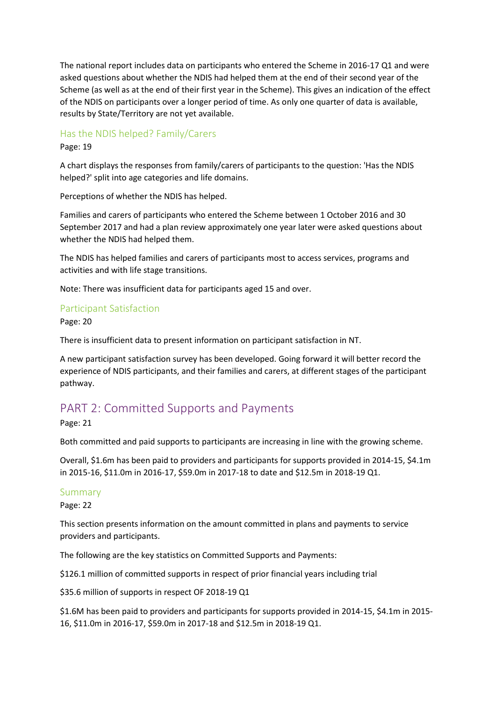The national report includes data on participants who entered the Scheme in 2016-17 Q1 and were asked questions about whether the NDIS had helped them at the end of their second year of the Scheme (as well as at the end of their first year in the Scheme). This gives an indication of the effect of the NDIS on participants over a longer period of time. As only one quarter of data is available, results by State/Territory are not yet available.

### Has the NDIS helped? Family/Carers

Page: 19

A chart displays the responses from family/carers of participants to the question: 'Has the NDIS helped?' split into age categories and life domains.

Perceptions of whether the NDIS has helped.

Families and carers of participants who entered the Scheme between 1 October 2016 and 30 September 2017 and had a plan review approximately one year later were asked questions about whether the NDIS had helped them.

The NDIS has helped families and carers of participants most to access services, programs and activities and with life stage transitions.

Note: There was insufficient data for participants aged 15 and over.

#### Participant Satisfaction

Page: 20

There is insufficient data to present information on participant satisfaction in NT.

A new participant satisfaction survey has been developed. Going forward it will better record the experience of NDIS participants, and their families and carers, at different stages of the participant pathway.

## PART 2: Committed Supports and Payments

Page: 21

Both committed and paid supports to participants are increasing in line with the growing scheme.

Overall, \$1.6m has been paid to providers and participants for supports provided in 2014-15, \$4.1m in 2015-16, \$11.0m in 2016-17, \$59.0m in 2017-18 to date and \$12.5m in 2018-19 Q1.

#### Summary

Page: 22

This section presents information on the amount committed in plans and payments to service providers and participants.

The following are the key statistics on Committed Supports and Payments:

\$126.1 million of committed supports in respect of prior financial years including trial

\$35.6 million of supports in respect OF 2018-19 Q1

\$1.6M has been paid to providers and participants for supports provided in 2014-15, \$4.1m in 2015- 16, \$11.0m in 2016-17, \$59.0m in 2017-18 and \$12.5m in 2018-19 Q1.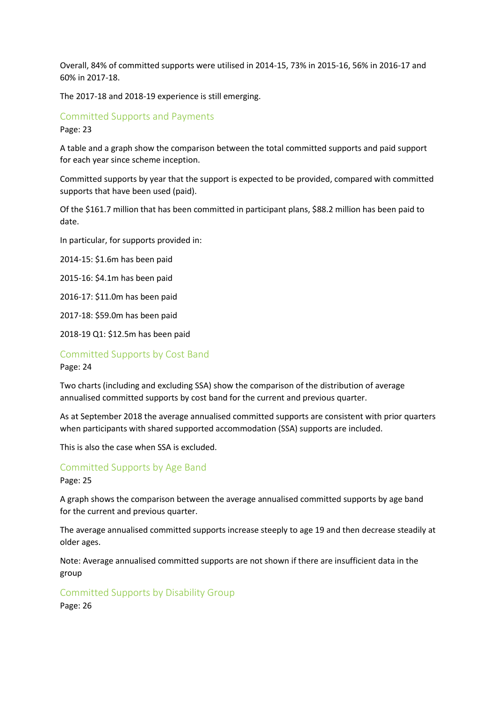Overall, 84% of committed supports were utilised in 2014-15, 73% in 2015-16, 56% in 2016-17 and 60% in 2017-18.

The 2017-18 and 2018-19 experience is still emerging.

# Committed Supports and Payments

Page: 23

A table and a graph show the comparison between the total committed supports and paid support for each year since scheme inception.

Committed supports by year that the support is expected to be provided, compared with committed supports that have been used (paid).

Of the \$161.7 million that has been committed in participant plans, \$88.2 million has been paid to date.

In particular, for supports provided in:

2014-15: \$1.6m has been paid

2015-16: \$4.1m has been paid

2016-17: \$11.0m has been paid

2017-18: \$59.0m has been paid

2018-19 Q1: \$12.5m has been paid

### Committed Supports by Cost Band

Page: 24

Two charts (including and excluding SSA) show the comparison of the distribution of average annualised committed supports by cost band for the current and previous quarter.

As at September 2018 the average annualised committed supports are consistent with prior quarters when participants with shared supported accommodation (SSA) supports are included.

This is also the case when SSA is excluded.

## Committed Supports by Age Band

Page: 25

A graph shows the comparison between the average annualised committed supports by age band for the current and previous quarter.

The average annualised committed supports increase steeply to age 19 and then decrease steadily at older ages.

Note: Average annualised committed supports are not shown if there are insufficient data in the group

#### Committed Supports by Disability Group

Page: 26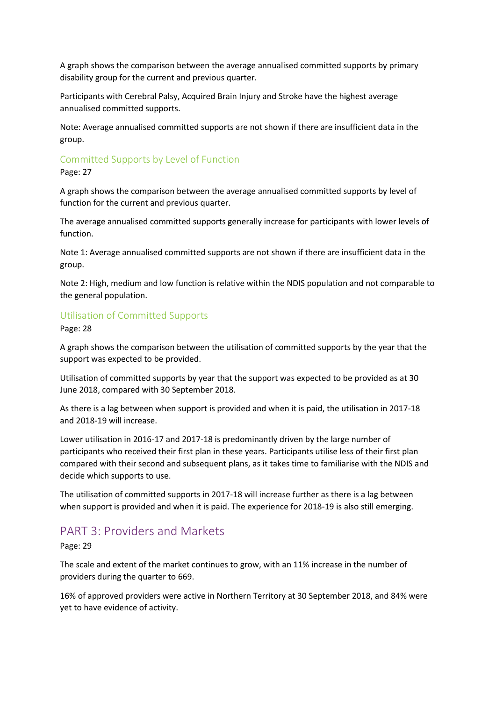A graph shows the comparison between the average annualised committed supports by primary disability group for the current and previous quarter.

Participants with Cerebral Palsy, Acquired Brain Injury and Stroke have the highest average annualised committed supports.

Note: Average annualised committed supports are not shown if there are insufficient data in the group.

## Committed Supports by Level of Function

Page: 27

A graph shows the comparison between the average annualised committed supports by level of function for the current and previous quarter.

The average annualised committed supports generally increase for participants with lower levels of function.

Note 1: Average annualised committed supports are not shown if there are insufficient data in the group.

Note 2: High, medium and low function is relative within the NDIS population and not comparable to the general population.

## Utilisation of Committed Supports

Page: 28

A graph shows the comparison between the utilisation of committed supports by the year that the support was expected to be provided.

Utilisation of committed supports by year that the support was expected to be provided as at 30 June 2018, compared with 30 September 2018.

As there is a lag between when support is provided and when it is paid, the utilisation in 2017-18 and 2018-19 will increase.

Lower utilisation in 2016-17 and 2017-18 is predominantly driven by the large number of participants who received their first plan in these years. Participants utilise less of their first plan compared with their second and subsequent plans, as it takes time to familiarise with the NDIS and decide which supports to use.

The utilisation of committed supports in 2017-18 will increase further as there is a lag between when support is provided and when it is paid. The experience for 2018-19 is also still emerging.

## PART 3: Providers and Markets

Page: 29

The scale and extent of the market continues to grow, with an 11% increase in the number of providers during the quarter to 669.

16% of approved providers were active in Northern Territory at 30 September 2018, and 84% were yet to have evidence of activity.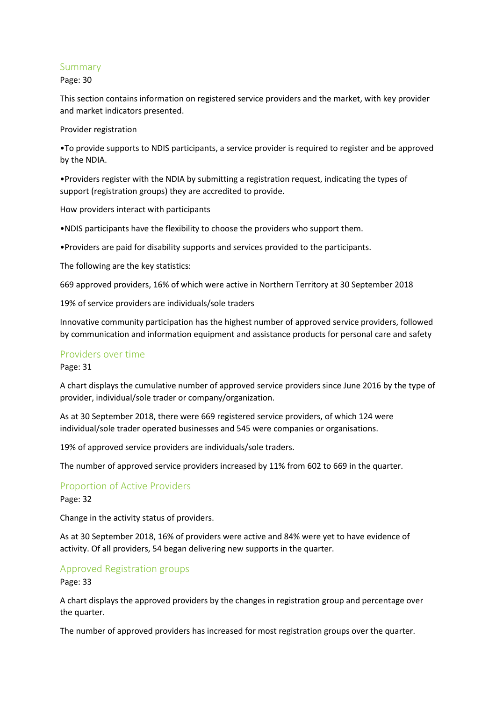#### Summary

Page: 30

This section contains information on registered service providers and the market, with key provider and market indicators presented.

Provider registration

•To provide supports to NDIS participants, a service provider is required to register and be approved by the NDIA.

•Providers register with the NDIA by submitting a registration request, indicating the types of support (registration groups) they are accredited to provide.

How providers interact with participants

•NDIS participants have the flexibility to choose the providers who support them.

•Providers are paid for disability supports and services provided to the participants.

The following are the key statistics:

669 approved providers, 16% of which were active in Northern Territory at 30 September 2018

19% of service providers are individuals/sole traders

Innovative community participation has the highest number of approved service providers, followed by communication and information equipment and assistance products for personal care and safety

#### Providers over time

Page: 31

A chart displays the cumulative number of approved service providers since June 2016 by the type of provider, individual/sole trader or company/organization.

As at 30 September 2018, there were 669 registered service providers, of which 124 were individual/sole trader operated businesses and 545 were companies or organisations.

19% of approved service providers are individuals/sole traders.

The number of approved service providers increased by 11% from 602 to 669 in the quarter.

Proportion of Active Providers

Page: 32

Change in the activity status of providers.

As at 30 September 2018, 16% of providers were active and 84% were yet to have evidence of activity. Of all providers, 54 began delivering new supports in the quarter.

#### Approved Registration groups

Page: 33

A chart displays the approved providers by the changes in registration group and percentage over the quarter.

The number of approved providers has increased for most registration groups over the quarter.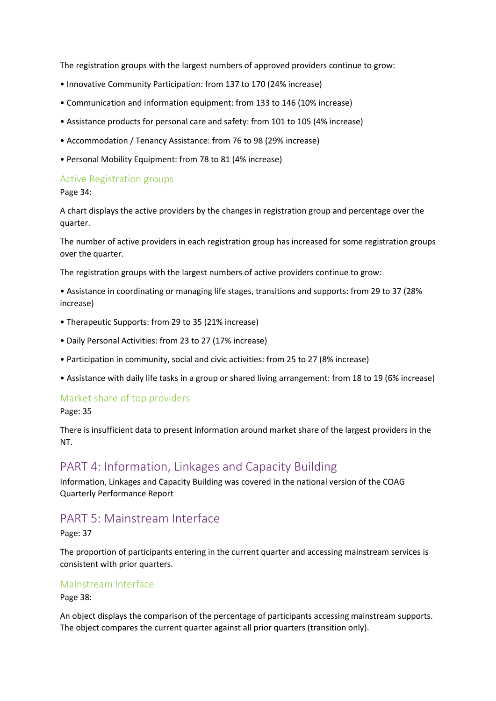The registration groups with the largest numbers of approved providers continue to grow:

- Innovative Community Participation: from 137 to 170 (24% increase)
- Communication and information equipment: from 133 to 146 (10% increase)
- Assistance products for personal care and safety: from 101 to 105 (4% increase)
- Accommodation / Tenancy Assistance: from 76 to 98 (29% increase)
- Personal Mobility Equipment: from 78 to 81 (4% increase)

#### Active Registration groups

Page 34:

A chart displays the active providers by the changes in registration group and percentage over the quarter.

The number of active providers in each registration group has increased for some registration groups over the quarter.

The registration groups with the largest numbers of active providers continue to grow:

• Assistance in coordinating or managing life stages, transitions and supports: from 29 to 37 (28% increase)

- Therapeutic Supports: from 29 to 35 (21% increase)
- Daily Personal Activities: from 23 to 27 (17% increase)
- Participation in community, social and civic activities: from 25 to 27 (8% increase)
- Assistance with daily life tasks in a group or shared living arrangement: from 18 to 19 (6% increase)

#### Market share of top providers

Page: 35

There is insufficient data to present information around market share of the largest providers in the NT.

## PART 4: Information, Linkages and Capacity Building

Information, Linkages and Capacity Building was covered in the national version of the COAG Quarterly Performance Report

## PART 5: Mainstream Interface

Page: 37

The proportion of participants entering in the current quarter and accessing mainstream services is consistent with prior quarters.

#### Mainstream Interface

Page 38:

An object displays the comparison of the percentage of participants accessing mainstream supports. The object compares the current quarter against all prior quarters (transition only).